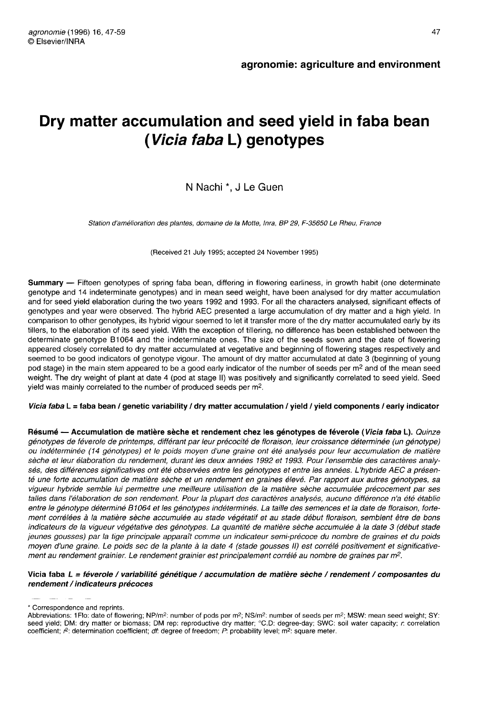# Dry matter accumulation and seed yield in faba bean ( Vicia faba L) genotypes

## N Nachi<sup>\*</sup>, J Le Guen

Station d'amélioration des plantes, domaine de la Motte, Inra, BP 29, F-35650 Le Rheu, France

(Received 21 July 1995; accepted 24 November 1995)

Summary - Fifteen genotypes of spring faba bean, differing in flowering earliness, in growth habit (one determinate genotype and 14 indeterminate genotypes) and in mean seed weight, have been analysed for dry matter accumulation and for seed yield elaboration during the two years 1992 and 1993. For all the characters analysed, significant effects of genotypes and year were observed. The hybrid AEC presented a large accumulation of dry matter and a high yield. In comparison to other genotypes, its hybrid vigour seemed to let it transfer more of the dry matter accumulated early by its tillers, to the elaboration of its seed yield. With the exception of tillering, no difference has been established between the determinate genotype B1064 and the indeterminate ones. The size of the seeds sown and the date of flowering appeared closely correlated to dry matter accumulated at vegetative and beginning of flowering stages respectively and seemed to be good indicators of genotype vigour. The amount of dry matter accumulated at date 3 (beginning of young pod stage) in the main stem appeared to be a good early indicator of the number of seeds per m<sup>2</sup> and of the mean seed weight. The dry weight of plant at date 4 (pod at stage II) was positively and significantly correlated to seed yield. Seed yield was mainly correlated to the number of produced seeds per m2.

#### Vicia faba L = faba bean / genetic variability / dry matter accumulation / yield / yield components / early indicator

Résumé — Accumulation de matière sèche et rendement chez les génotypes de féverole (Vicia faba L). Quinze génotypes de féverole de printemps, différant par leur précocité de floraison, leur croissance déterminée (un génotype) ou indéterminée (14 génotypes) et le poids moyen d'une graine ont été analysés pour leur accumulation de matière sèche et leur élaboration du rendement, durant les deux années 1992 et 1993. Pour l'ensemble des caractères analysés, des différences significatives ont été observées entre les génotypes et entre les années. L'hybride AEC a présenté une forte accumulation de matière sèche et un rendement en graines élevé. Par rapport aux autres génotypes, sa vigueur hybride semble lui permettre une meilleure utilisation de la matière sèche accumulée précocement par ses talles dans l'élaboration de son rendement. Pour la plupart des caractères analysés, aucune différence n'a été établie entre le génotype déterminé B1064 et les génotypes indéterminés. La taille des semences et la date de floraison, fortement corrélées à la matière sèche accumulée au stade végétatif et au stade début floraison, semblent être de bons indicateurs de la vigueur végétative des génotypes. La quantité de matière sèche accumulée à la date 3 (début stade jeunes gousses) par la tige principale apparaît comme un indicateur semi-précoce du nombre de graines et du poids moyen d'une graine. Le poids sec de la plante à la date 4 (stade gousses II) est corrélé positivement et significative-<br>ment au rendement grainier. Le rendement grainier est principalement corrélé au nombre de graines par

#### Vicia faba L = féverole / variabilité génétique / accumulation de matière sèche / rendement / composantes du rendement / indicateurs précoces

<sup>\*</sup> Correspondence and reprints.

Abbreviations: 1Flo: date of flowering; NP/m<sup>2</sup>: number of pods per m<sup>2</sup>; NS/m<sup>2</sup>: number of seeds per m<sup>2</sup>; MSW: mean seed weight; SY: seed yield; DM: dry matter or biomass; DM rep: reproductive dry matter; °C.D: degree-day; SWC: soil water capacity; r. correlation coefficient;  $r^2$ : determination coefficient; df: degree of freedom; P: probability level; m<sup>2</sup>: square meter.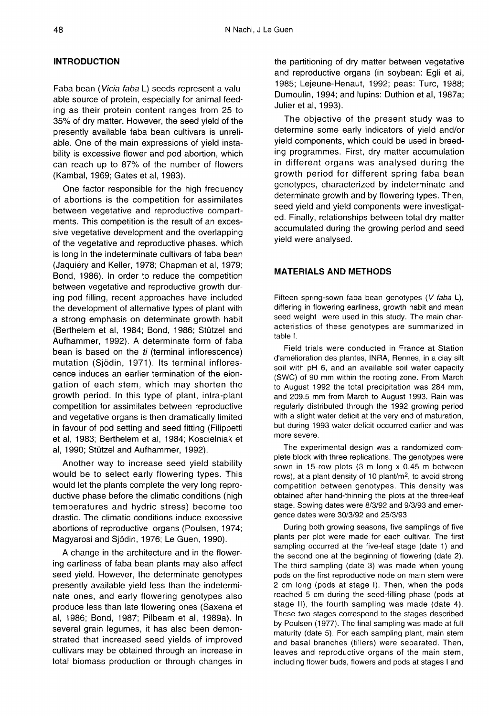## INTRODUCTION

Faba bean (Vicia faba L) seeds represent a valuable source of protein, especially for animal feeding as their protein content ranges from 25 to 35% of dry matter. However, the seed yield of the presently available faba bean cultivars is unreliable. One of the main expressions of yield instability is excessive flower and pod abortion, which can reach up to 87% of the number of flowers (Kambal, 1969; Gates et al, 1983).

One factor responsible for the high frequency of abortions is the competition for assimilates between vegetative and reproductive compartments. This competition is the result of an excessive vegetative development and the overlapping of the vegetative and reproductive phases, which is long in the indeterminate cultivars of faba bean (Jaquiéry and Keller, 1978; Chapman et al, 1979; Bond, 1986). In order to reduce the competition between vegetative and reproductive growth during pod filling, recent approaches have included the development of alternative types of plant with a strong emphasis on determinate growth habit (Berthelem et al, 1984; Bond, 1986; Stützel and Aufhammer, 1992). A determinate form of faba bean is based on the ti (terminal inflorescence) mutation (Sjödin, 1971). Its terminal inflorescence induces an earlier termination of the elongation of each stem, which may shorten the growth period. In this type of plant, intra-plant competition for assimilates between reproductive and vegetative organs is then dramatically limited in favour of pod setting and seed fitting (Filippetti et al, 1983; Berthelem et al, 1984; Koscielniak et al, 1990; Stützel and Aufhammer, 1992).

Another way to increase seed yield stability would be to select early flowering types. This would let the plants complete the very long reproductive phase before the climatic conditions (high temperatures and hydric stress) become too drastic. The climatic conditions induce excessive abortions of reproductive organs (Poulsen, 1974; Magyarosi and Sjödin, 1976; Le Guen, 1990).

A change in the architecture and in the flowering earliness of faba bean plants may also affect seed yield. However, the determinate genotypes presently available yield less than the indeterminate ones, and early flowering genotypes also produce less than late flowering ones (Saxena et al, 1986; Bond, 1987; Pilbeam et al, 1989a). In several grain legumes, it has also been demonstrated that increased seed yields of improved cultivars may be obtained through an increase in total biomass production or through changes in

the partitioning of dry matter between vegetative and reproductive organs (in soybean: Egli et al, 1985; Lejeune-Henaut, 1992; peas: Turc, 1988; Dumoulin, 1994; and lupins: Duthion et al, 1987a; Julier et al, 1993).

The objective of the present study was to determine some early indicators of yield and/or yield components, which could be used in breeding programmes. First, dry matter accumulation in different organs was analysed during the growth period for different spring faba bean genotypes, characterized by indeterminate and determinate growth and by flowering types. Then, seed yield and yield components were investigated. Finally, relationships between total dry matter accumulated during the growing period and seed yield were analysed.

## MATERIALS AND METHODS

Fifteen spring-sown faba bean genotypes (V faba L), differing in flowering earliness, growth habit and mean seed weight were used in this study. The main characteristics of these genotypes are summarized in table I.

Field trials were conducted in France at Station d'amélioration des plantes, INRA, Rennes, in a clay silt soil with pH 6, and an available soil water capacity (SWC) of 90 mm within the rooting zone. From March to August 1992 the total precipitation was 284 mm, and 209.5 mm from March to August 1993. Rain was regularly distributed through the 1992 growing period with a slight water deficit at the very end of maturation, but during 1993 water deficit occurred earlier and was more severe.

The experimental design was a randomized complete block with three replications. The genotypes were sown in 15-row plots (3 m long x 0.45 m between rows), at a plant density of 10 plant/m<sup>2</sup>, to avoid strong The experimental design was a randomized com-<br>plete block with three replications. The genotypes were<br>sown in 15-row plots (3 m long x 0.45 m between<br>rows), at a plant density of 10 plant/m<sup>2</sup>, to avoid strong<br>competition competition between genotypes. This density was obtained after hand-thinning the plots at the three-leaf stage. Sowing dates were 8/3/92 and 9/3/93 and emergence dates were 30/3/92 and 25/3/93

During both growing seasons, five samplings of five plants per plot were made for each cultivar. The first sampling occurred at the five-leaf stage (date 1) and the second one at the beginning of flowering (date 2). The third sampling (date 3) was made when young pods on the first reproductive node on main stem were 2 cm long (pods at stage I). Then, when the pods reached 5 cm during the seed-filling phase (pods at stage II), the fourth sampling was made (date 4). These two stages correspond to the stages described by Poulsen (1977). The final sampling was made at full maturity (date 5). For each sampling plant, main stem and basal branches (tillers) were separated. Then, leaves and reproductive organs of the main stem, including flower buds, flowers and pods at stages I and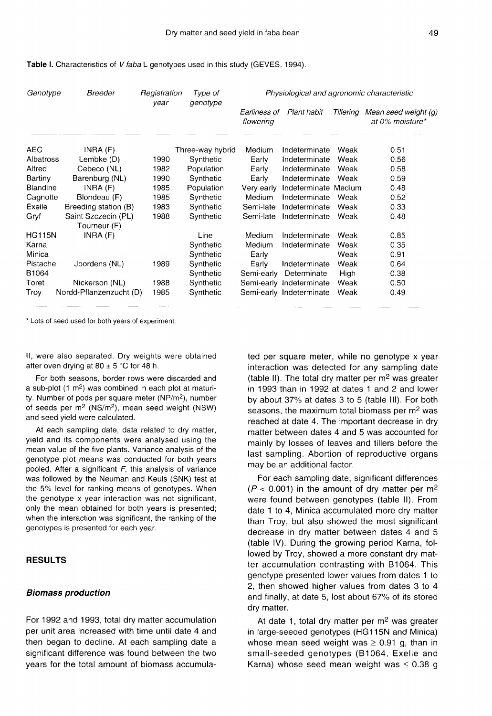Table I. Characteristics of V faba L genotypes used in this study (GEVES, 1994).

| Genotype      | Breeder                 | Registration<br>year | Type of<br>genotype |                           |                          |           | Physiological and agronomic characteristic |
|---------------|-------------------------|----------------------|---------------------|---------------------------|--------------------------|-----------|--------------------------------------------|
|               |                         |                      |                     | Earliness of<br>flowering | Plant habit              | Tillerina | Mean seed weight (g)<br>at 0% moisture*    |
| <b>AEC</b>    | INRA(F)                 |                      | Three-way hybrid    | Medium                    | Indeterminate            | Weak      | 0.51                                       |
| Albatross     | Lembke (D)              | 1990                 | Synthetic           | Early                     | Indeterminate            | Weak      | 0.56                                       |
| Alfred        | Cebeco (NL)             | 1982                 | Population          | Early                     | Indeterminate            | Weak      | 0.58                                       |
| Bartiny       | Barenburg (NL)          | 1990                 | Synthetic           | Early                     | Indeterminate            | Weak      | 0.59                                       |
| Blandine      | INRA $(F)$              | 1985                 | Population          | Very early                | Indeterminate Medium     |           | 0.48                                       |
| Cagnotte      | Blondeau (F)            | 1985                 | Synthetic           | Medium                    | Indeterminate            | Weak      | 0.52                                       |
| Exelle        | Breeding station (B)    | 1983                 | Synthetic           | Semi-late                 | Indeterminate            | Weak      | 0.33                                       |
| Gryf          | Saint Szczecin (PL)     | 1988                 | Synthetic           | Semi-late                 | Indeterminate            | Weak      | 0.48                                       |
|               | Tourneur (F)            |                      |                     |                           |                          |           |                                            |
| <b>HG115N</b> | INRA(F)                 |                      | Line                | Medium                    | Indeterminate            | Weak      | 0.85                                       |
| Karna         |                         |                      | Synthetic           | Medium                    | Indeterminate            | Weak      | 0.35                                       |
| Minica        |                         |                      | Synthetic           | Early                     |                          | Weak      | 0.91                                       |
| Pistache      | Joordens (NL)           | 1989                 | Synthetic           | Early                     | Indeterminate            | Weak      | 0.64                                       |
| B1064         |                         |                      | Synthetic           | Semi-early                | Determinate              | High      | 0.38                                       |
| Toret         | Nickerson (NL)          | 1988                 | Synthetic           | Semi-early                | Indeterminate            | Weak      | 0.50                                       |
| Troy          | Nordd-Pflanzenzucht (D) | 1985                 | Synthetic           |                           | Semi-early Indeterminate | Weak      | 0.49                                       |

\* Lots of seed used for both years of experiment.

II, were also separated. Dry weights were obtained after oven drying at  $80 \pm 5$  °C for 48 h.

For both seasons, border rows were discarded and For both seasons, border rows were discarded and<br>a sub-plot (1 m<sup>2</sup>) was combined in each plot at maturiafter oven drying at 80  $\pm$  5 °C for 48 h.<br>
For both seasons, border rows were discarded and<br>
a sub-plot (1 m<sup>2</sup>) was combined in each plot at maturi-<br>
ty. Number of pods per square meter (NP/m<sup>2</sup>), number<br>
of seeds per For both seasons, border rows were discarded and<br>a sub-plot (1 m<sup>2</sup>) was combined in each plot at maturi-<br>ty. Number of pods per square meter (NP/m<sup>2</sup>), number<br>of seeds per m<sup>2</sup> (NS/m<sup>2</sup>), mean seed weight (NSW)<br>and seed and seed yield were calculated.

At each sampling date, data related to dry matter, yield and its components were analysed using the mean value of the five plants. Variance analysis of the genotype plot means was conducted for both years pooled. After a significant  $F$ , this analysis of variance was followed by the Neuman and Keuls (SNK) test at the 5% level for ranking means of genotypes. When the genotype x year interaction was not significant, only the mean obtained for both years is presented; when the interaction was significant, the ranking of the genotypes is presented for each year.

## RESULTS

#### Biomass production

For 1992 and 1993, total dry matter accumulation per unit area increased with time until date 4 and then began to decline. At each sampling date a significant difference was found between the two years for the total amount of biomass accumulated per square meter, while no genotype x year interaction was detected for any sampling date (table II). The total dry matter per  $m<sup>2</sup>$  was greater in 1993 than in 1992 at dates 1 and 2 and lower by about 37% at dates 3 to 5 (table III). For both seasons, the maximum total biomass per  $m<sup>2</sup>$  was reached at date 4. The important decrease in dry matter between dates 4 and 5 was accounted for mainly by losses of leaves and tillers before the last sampling. Abortion of reproductive organs may be an additional factor.

For each sampling date, significant differences  $(P < 0.001)$  in the amount of dry matter per m<sup>2</sup> were found between genotypes (table II). From date 1 to 4, Minica accumulated more dry matter than Troy, but also showed the most significant decrease in dry matter between dates 4 and 5 (table IV). During the growing period Karna, followed by Troy, showed a more constant dry matter accumulation contrasting with B1064. This genotype presented lower values from dates 1 to 2, then showed higher values from dates 3 to 4 and finally, at date 5, lost about 67% of its stored dry matter.

At date 1, total dry matter per  $m<sup>2</sup>$  was greater in large-seeded genotypes (HG115N and Minica) whose mean seed weight was  $\geq 0.91$  g, than in small-seeded genotypes (B1064, Exelle and Karna) whose seed mean weight was  $\leq 0.38$  g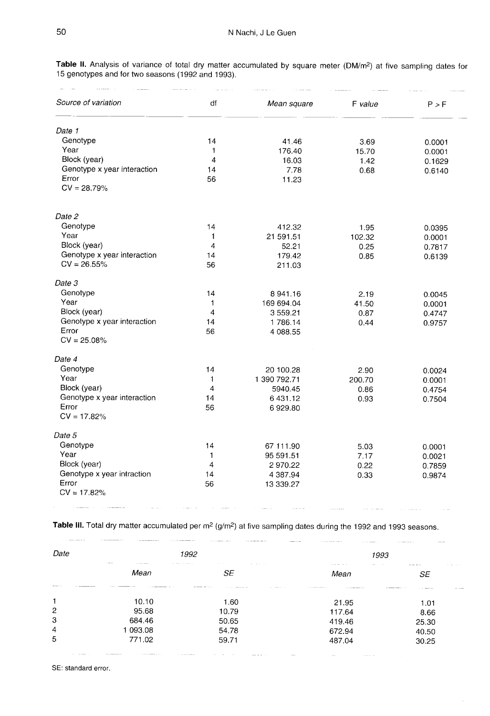Table II. Analysis of variance of total dry matter accumulated by square meter (DM/m<sup>2</sup>) at five sampling dates for 15 genotypes and for two seasons (1992 and 1993).

| Source of variation         | df                      | Mean square  | F value | P > F  |
|-----------------------------|-------------------------|--------------|---------|--------|
| Date 1                      |                         |              |         |        |
| Genotype                    | 14                      | 41.46        | 3.69    | 0.0001 |
| Year                        | $\mathbf{1}$            | 176.40       | 15.70   | 0.0001 |
| Block (year)                | $\overline{\mathbf{4}}$ | 16.03        | 1.42    | 0.1629 |
| Genotype x year interaction | 14                      | 7.78         | 0.68    | 0.6140 |
| Error                       | 56                      | 11.23        |         |        |
| $CV = 28.79\%$              |                         |              |         |        |
| Date 2                      |                         |              |         |        |
| Genotype                    | 14                      | 412.32       | 1.95    | 0.0395 |
| Year                        | 1                       | 21 591.51    | 102.32  | 0.0001 |
| Block (year)                | 4                       | 52.21        | 0.25    | 0.7817 |
| Genotype x year interaction | 14                      | 179.42       | 0.85    | 0.6139 |
| $CV = 26.55%$               | 56                      | 211.03       |         |        |
| Date 3                      |                         |              |         |        |
| Genotype                    | 14                      | 8 941.16     | 2.19    | 0.0045 |
| Year                        | 1                       | 169 694.04   | 41.50   | 0.0001 |
| Block (year)                | 4                       | 3559.21      | 0.87    | 0.4747 |
| Genotype x year interaction | 14                      | 1786.14      | 0.44    | 0.9757 |
| Error                       | 56                      | 4 088.55     |         |        |
| $CV = 25.08%$               |                         |              |         |        |
| Date 4                      |                         |              |         |        |
| Genotype                    | 14                      | 20 100.28    | 2.90    | 0.0024 |
| Year                        | 1                       | 1 390 792.71 | 200.70  | 0.0001 |
| Block (year)                | 4                       | 5940.45      | 0.86    | 0.4754 |
| Genotype x year interaction | 14                      | 6 431.12     | 0.93    | 0.7504 |
| Error                       | 56                      | 6929.80      |         |        |
| $CV = 17.82%$               |                         |              |         |        |
| Date 5                      |                         |              |         |        |
| Genotype                    | 14                      | 67 111.90    | 5.03    | 0.0001 |
| Year                        | 1                       | 95 591.51    | 7.17    | 0.0021 |
| Block (year)                | 4                       | 2970.22      | 0.22    | 0.7859 |
| Genotype x year intraction  | 14                      | 4 387.94     | 0.33    | 0.9874 |
| Error                       | 56                      | 13 339.27    |         |        |
| $CV = 17.82%$               |                         |              |         |        |

Table III. Total dry matter accumulated per  $m^2$  (g/m<sup>2</sup>) at five sampling dates during the 1992 and 1993 seasons.

| Date<br><b>CONTRACTOR</b> | $\sim$ $\sim$<br>the same company of the<br>the state of the state of the | 1992                                                               | 1993                                                       |                                                                                                                                                                          |
|---------------------------|---------------------------------------------------------------------------|--------------------------------------------------------------------|------------------------------------------------------------|--------------------------------------------------------------------------------------------------------------------------------------------------------------------------|
|                           | Mean<br>---<br>the contract of the contract of the contract of the con-   | the company of the com-<br>the company of the company of the<br>SE | $\cdots \cdots \cdots \cdots \cdots \cdots$<br>$-$<br>Mean | a contract the con-<br>$\mathcal{L}_{\mathcal{A}} = \mathcal{L}_{\mathcal{A}} = \mathcal{L}_{\mathcal{A}} = \mathcal{L}_{\mathcal{A}} = \mathcal{L}_{\mathcal{A}}$<br>SE |
| 1                         | 10.10                                                                     | the contract complete the contract of<br>.<br>1.60                 | the state of the state of the state of the<br>21.95        | the commission of<br>1.01                                                                                                                                                |
| 2                         | 95.68                                                                     | 10.79                                                              | 117.64                                                     | 8.66                                                                                                                                                                     |
| 3                         | 684.46                                                                    | 50.65                                                              | 419.46                                                     | 25.30                                                                                                                                                                    |
| 4                         | 1 093.08                                                                  | 54.78                                                              | 672.94                                                     | 40.50                                                                                                                                                                    |
| 5                         | 771.02                                                                    | 59.71                                                              | 487.04                                                     | 30.25                                                                                                                                                                    |

SE: standard error.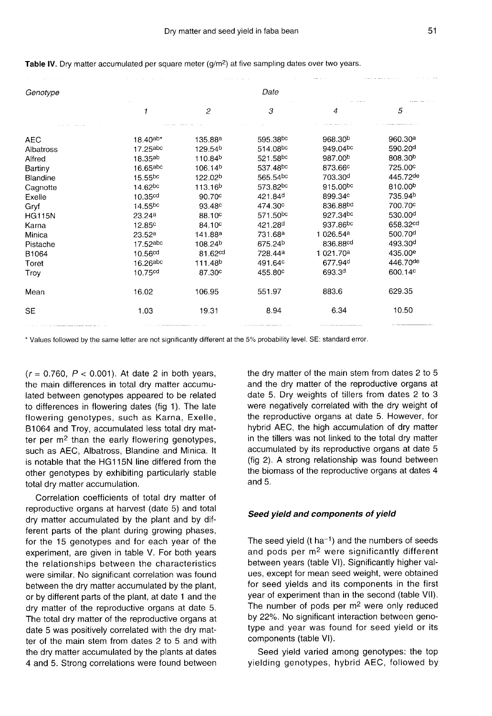| Genotype      | Date                     |                     |                      |                       |                     |  |  |  |
|---------------|--------------------------|---------------------|----------------------|-----------------------|---------------------|--|--|--|
|               |                          | $\overline{c}$      | 3                    | 4                     | 5                   |  |  |  |
|               |                          |                     |                      |                       |                     |  |  |  |
| AEC.          | $18.40^{\text{ab}\star}$ | 135.88 <sup>a</sup> | 595.38 <sup>bc</sup> | 968.30 <sup>b</sup>   | 960.30 <sup>a</sup> |  |  |  |
| Albatross     | 17.25abc                 | 129.54 <sup>b</sup> | 514.08bc             | 949.04bc              | 590.20 <sup>d</sup> |  |  |  |
| Alfred        | $18.35^{ab}$             | 110.84 <sup>b</sup> | 521.58 <sup>bc</sup> | 987.00 <sup>b</sup>   | 808.30 <sup>b</sup> |  |  |  |
| Bartiny       | 16.65abc                 | 106.14 <sup>b</sup> | 537.48 <sup>bc</sup> | 873.66 <sup>c</sup>   | 725.00°             |  |  |  |
| Blandine      | $15.55^{bc}$             | 122.02 <sup>b</sup> | 565.54 <sup>bc</sup> | 703.30 <sup>d</sup>   | 445.72de            |  |  |  |
| Cagnotte      | 14.62bc                  | 113.16 <sup>b</sup> | 573.82bc             | 915.00bc              | 810.00 <sup>b</sup> |  |  |  |
| Exelle        | 10.35 <sup>cd</sup>      | 90.70 <sup>c</sup>  | 421.84 <sup>d</sup>  | 899.34c               | 735.94 <sup>b</sup> |  |  |  |
| Gryf          | $14.55^{bc}$             | 93.48 <sup>c</sup>  | 474.30 <sup>c</sup>  | 836.88bd              | 700.70°             |  |  |  |
| <b>HG115N</b> | 23.24a                   | 88.10 <sup>c</sup>  | 571.50 <sup>bc</sup> | 927.34bc              | 530.00 <sup>d</sup> |  |  |  |
| Karna         | 12.85 <sup>c</sup>       | 84.10 <sup>c</sup>  | 421.28 <sup>d</sup>  | 937.86 <sup>bc</sup>  | 658.32cd            |  |  |  |
| Minica        | 23.52a                   | 141.88ª             | 731.68 <sup>a</sup>  | 1 026.54 <sup>a</sup> | 500.70 <sup>d</sup> |  |  |  |
| Pistache      | 17.52abc                 | 108.24 <sup>b</sup> | 675.24 <sup>b</sup>  | 836.88cd              | 493.30 <sup>d</sup> |  |  |  |
| B1064         | 10.56 <sup>cd</sup>      | 81.62 <sup>cd</sup> | 728.44a              | 1 021.70 <sup>a</sup> | 435.00 <sup>e</sup> |  |  |  |
| Toret         | 16.26abc                 | 111.48 <sup>b</sup> | 491.64 <sup>c</sup>  | 677.94 <sup>d</sup>   | 446.70de            |  |  |  |
| Troy          | 10.75 <sup>cd</sup>      | 87.30 <sup>c</sup>  | 455.80 <sup>c</sup>  | 693.3 <sup>d</sup>    | 600.14 <sup>c</sup> |  |  |  |
| Mean          | 16.02                    | 106.95              | 551.97               | 883.6                 | 629.35              |  |  |  |
| <b>SE</b>     | 1.03                     | 19.31               | 8.94                 | 6.34                  | 10.50               |  |  |  |

## Table IV. Dry matter accumulated per square meter (g/m<sup>2</sup>) at five sampling dates over two years.

\* Values followed by the same letter are not significantly different at the 5% probability level. SE: standard error.

 $(r = 0.760, P < 0.001)$ . At date 2 in both years, the main differences in total dry matter accumulated between genotypes appeared to be related to differences in flowering dates (fig 1). The late flowering genotypes, such as Karna, Exelle, B1064 and Troy, accumulated less total dry matter per  $m<sup>2</sup>$  than the early flowering genotypes, such as AEC, Albatross, Blandine and Minica. It is notable that the HG115N line differed from the other genotypes by exhibiting particularly stable total dry matter accumulation.

Correlation coefficients of total dry matter of reproductive organs at harvest (date 5) and total dry matter accumulated by the plant and by different parts of the plant during growing phases, for the 15 genotypes and for each year of the experiment, are given in table V. For both years the relationships between the characteristics were similar. No significant correlation was found between the dry matter accumulated by the plant, or by different parts of the plant, at date 1 and the dry matter of the reproductive organs at date 5. The total dry matter of the reproductive organs at date 5 was positively correlated with the dry matter of the main stem from dates 2 to 5 and with the dry matter accumulated by the plants at dates 4 and 5. Strong correlations were found between

the dry matter of the main stem from dates 2 to 5 and the dry matter of the reproductive organs at date 5. Dry weights of tillers from dates 2 to 3 were negatively correlated with the dry weight of the reproductive organs at date 5. However, for hybrid AEC, the high accumulation of dry matter in the tillers was not linked to the total dry matter accumulated by its reproductive organs at date 5 (fig 2). A strong relationship was found between the biomass of the reproductive organs at dates 4 and 5.

#### Seed yield and components of yield

The seed yield (t ha<sup>-1</sup>) and the numbers of seeds and pods per m2 were significantly different between years (table VI). Significantly higher values, except for mean seed weight, were obtained for seed yields and its components in the first year of experiment than in the second (table VII). The number of pods per  $m<sup>2</sup>$  were only reduced by 22%. No significant interaction between genotype and year was found for seed yield or its components (table VI).

Seed yield varied among genotypes: the top yielding genotypes, hybrid AEC, followed by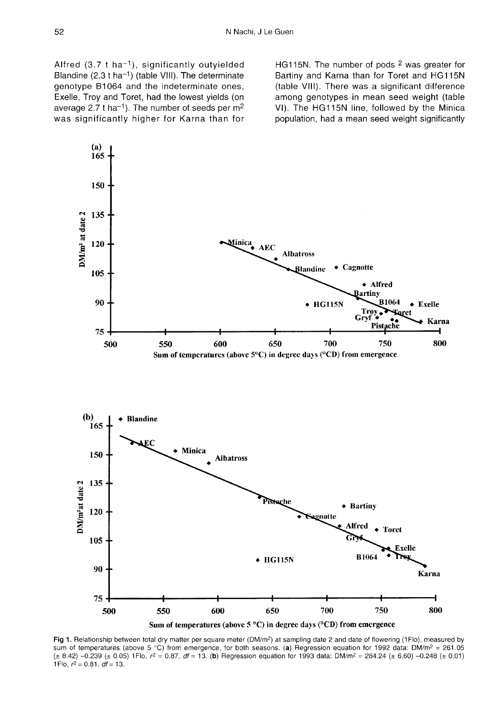Alfred (3.7 t ha<sup>-1</sup>), significantly outyielded<br>Blandine (2.3 t ha<sup>-1</sup>) (table VIII). The determinate<br>genetyne B1064 and the indeterminate enec genotype B1064 and the indeterminate ones, Exelle, Troy and Toret, had the lowest yields (on average 2.7 t ha<sup>-1</sup>). The number of seeds per  $m<sup>2</sup>$ was significantly higher for Karna than for

HG115N. The number of pods 2 was greater for Bartiny and Karna than for Toret and HG115N (table VIII). There was a significant difference among genotypes in mean seed weight (table VI). The HG115N line, followed by the Minica population, had a mean seed weight significantly



Fig 1. Relationship between total dry matter per square meter (DM/m<sup>2</sup>) at sampling date 2 and date of flowering (1Flo), measured by sum of temperatures (above 5 °C) from emergence, for both seasons. (a) Regression equation for 1992 data: DM/m<sup>2</sup> = 261.05  $(\pm 8.42)$  -0.239 ( $\pm$  0.05) 1Flo,  $r^2 = 0.87$ ,  $dr = 13$ . (b) Regression equation for 1993 data: DM/m<sup>2</sup> = 284.24 ( $\pm$  6.60) -0.248 ( $\pm$  0.01) 1Flo,  $r^2 = 0.81$ ,  $df = 13$ .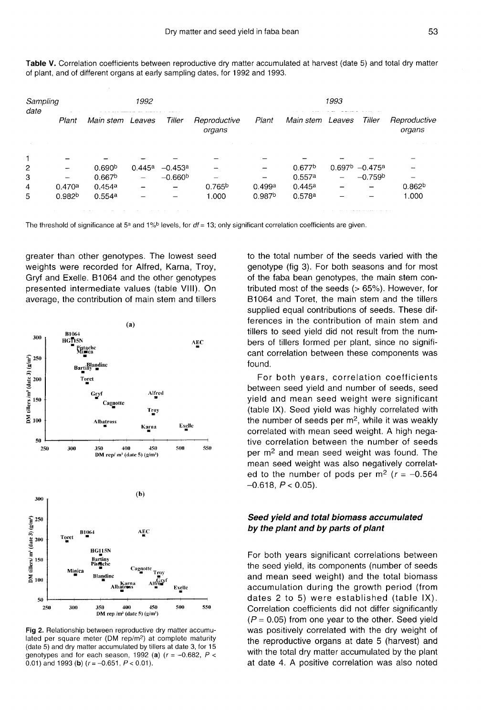Table V. Correlation coefficients between reproductive dry matter accumulated at harvest (date 5) and total dry matter of plant, and of different organs at early sampling dates, for 1992 and 1993.

| Sampling |                    |                                           | 1992   |           |                        |                    |                    | 1993 |                  |                        |
|----------|--------------------|-------------------------------------------|--------|-----------|------------------------|--------------------|--------------------|------|------------------|------------------------|
| date     | Plant              | Main stem Leaves                          |        | Tiller    | Reproductive<br>organs | Plant              | Main stem Leaves   |      | Tiller           | Reproductive<br>organs |
|          |                    |                                           |        |           |                        |                    |                    |      |                  |                        |
|          |                    |                                           |        |           |                        |                    |                    |      |                  |                        |
| 2        |                    | 0.690 <sup>b</sup>                        | 0.445a | $-0.453a$ |                        |                    | 0.677 <sup>b</sup> |      | $0.697b -0.475a$ |                        |
| 3        |                    | 0.667 <sup>b</sup>                        |        | $-0.660b$ |                        |                    | 0.557a             | -    | $-0.759b$        |                        |
| 4        | 0.470a             | 0.454a                                    |        |           | 0.765 <sup>b</sup>     | 0.499a             | 0.445a             |      |                  | 0.862 <sup>b</sup>     |
| 5        | 0.982 <sup>b</sup> | 0.554a                                    |        |           | 1.000                  | 0.987 <sup>b</sup> | 0.578a             |      |                  | 1.000                  |
|          |                    | the company of the company of the company | $\sim$ | .         |                        |                    |                    |      |                  |                        |

The threshold of significance at 5<sup>a</sup> and 1%<sup>b</sup> levels, for  $df = 13$ ; only significant correlation coefficients are given.

greater than other genotypes. The lowest seed weights were recorded for Alfred, Karna, Troy, Gryf and Exelle. B1064 and the other genotypes presented intermediate values (table VIII). On average, the contribution of main stem and tillers



Fig 2. Relationship between reproductive dry matter accumulated per square meter (DM rep/m<sup>2</sup>) at complete maturity (date 5) and dry matter accumulated by tillers at date 3, for 15 genotypes and for each season, 1992 (a) ( $r = -0.682$ ,  $P <$ 0.01) and 1993 (b)  $(r = -0.651, P < 0.01)$ .

to the total number of the seeds varied with the genotype (fig 3). For both seasons and for most of the faba bean genotypes, the main stem contributed most of the seeds (> 65%). However, for B1064 and Toret, the main stem and the tillers supplied equal contributions of seeds. These differences in the contribution of main stem and tillers to seed yield did not result from the numbers of tillers formed per plant, since no significant correlation between these components was found.

For both years, correlation coefficients between seed yield and number of seeds, seed yield and mean seed weight were significant (table IX). Seed yield was highly correlated with the number of seeds per  $m<sup>2</sup>$ , while it was weakly correlated with mean seed weight. A high negative correlation between the number of seeds per m2 and mean seed weight was found. The mean seed weight was also negatively correlated to the number of pods per m<sup>2</sup> ( $r = -0.564$ )  $-0.618, P < 0.05$ ).

## Seed yield and total biomass accumulated by the plant and by parts of plant

For both years significant correlations between the seed yield, its components (number of seeds and mean seed weight) and the total biomass accumulation during the growth period (from dates 2 to 5) were established (table IX). Correlation coefficients did not differ significantly  $(P = 0.05)$  from one year to the other. Seed yield was positively correlated with the dry weight of the reproductive organs at date 5 (harvest) and with the total dry matter accumulated by the plant at date 4. A positive correlation was also noted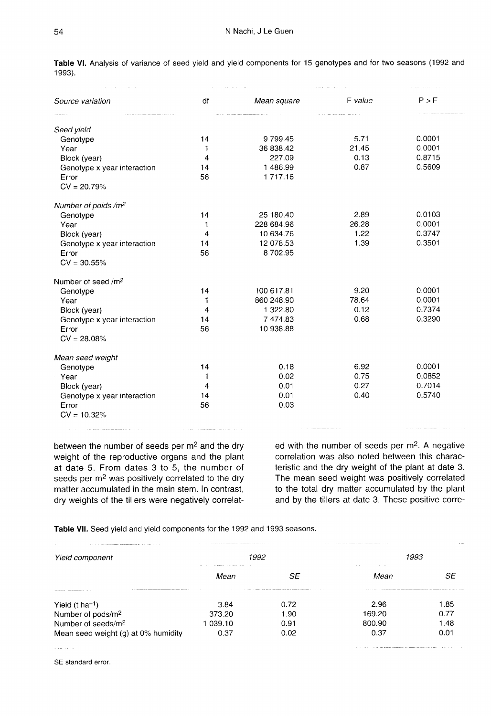|                                                                                                                                                                                                                               | $\mathcal{A}(\mathbf{x})$ . The $\mathcal{A}(\mathbf{x})$      |             | contact and contact and | the same companies of the co- |  |
|-------------------------------------------------------------------------------------------------------------------------------------------------------------------------------------------------------------------------------|----------------------------------------------------------------|-------------|-------------------------|-------------------------------|--|
| Source variation                                                                                                                                                                                                              | df                                                             | Mean square | F value                 | P > F                         |  |
|                                                                                                                                                                                                                               |                                                                |             | a communicación         |                               |  |
| Seed yield                                                                                                                                                                                                                    |                                                                |             |                         |                               |  |
| Genotype                                                                                                                                                                                                                      | 14                                                             | 9799.45     | 5.71                    | 0.0001                        |  |
| Year                                                                                                                                                                                                                          | 1                                                              | 36 838.42   | 21.45                   | 0.0001                        |  |
| Block (year)                                                                                                                                                                                                                  | $\overline{4}$                                                 | 227.09      | 0.13                    | 0.8715                        |  |
| Genotype x year interaction                                                                                                                                                                                                   | 14                                                             | 1486.99     | 0.87                    | 0.5609                        |  |
| Error                                                                                                                                                                                                                         | 56                                                             | 1 717.16    |                         |                               |  |
| $CV = 20.79%$                                                                                                                                                                                                                 |                                                                |             |                         |                               |  |
| Number of poids /m <sup>2</sup>                                                                                                                                                                                               |                                                                |             |                         |                               |  |
| Genotype                                                                                                                                                                                                                      | 14                                                             | 25 180.40   | 2.89                    | 0.0103                        |  |
| Year                                                                                                                                                                                                                          | $\mathbf{1}$                                                   | 228 684.96  | 26.28                   | 0.0001                        |  |
| Block (year)                                                                                                                                                                                                                  | 4                                                              | 10 634.76   | 1.22                    | 0.3747                        |  |
| Genotype x year interaction                                                                                                                                                                                                   | 14                                                             | 12 078.53   | 1.39                    | 0.3501                        |  |
| Error                                                                                                                                                                                                                         | 56                                                             | 8702.95     |                         |                               |  |
| $CV = 30.55\%$                                                                                                                                                                                                                |                                                                |             |                         |                               |  |
| Number of seed /m <sup>2</sup>                                                                                                                                                                                                |                                                                |             |                         |                               |  |
| Genotype                                                                                                                                                                                                                      | 14                                                             | 100 617.81  | 9.20                    | 0.0001                        |  |
| Year                                                                                                                                                                                                                          | 1                                                              | 860 248.90  | 78.64                   | 0.0001                        |  |
| Block (year)                                                                                                                                                                                                                  | 4                                                              | 1 322.80    | 0.12                    | 0.7374                        |  |
| Genotype x year interaction                                                                                                                                                                                                   | 14                                                             | 7474.83     | 0.68                    | 0.3290                        |  |
| Error                                                                                                                                                                                                                         | 56                                                             | 10 938.88   |                         |                               |  |
| $CV = 28.08%$                                                                                                                                                                                                                 |                                                                |             |                         |                               |  |
| Mean seed weight                                                                                                                                                                                                              |                                                                |             |                         |                               |  |
| Genotype                                                                                                                                                                                                                      | 14                                                             | 0.18        | 6.92                    | 0.0001                        |  |
| Year                                                                                                                                                                                                                          | $\mathbf{1}$                                                   | 0.02        | 0.75                    | 0.0852                        |  |
| Block (year)                                                                                                                                                                                                                  | $\overline{4}$                                                 | 0.01        | 0.27                    | 0.7014                        |  |
| Genotype x year interaction                                                                                                                                                                                                   | 14                                                             | 0.01        | 0.40                    | 0.5740                        |  |
| Error                                                                                                                                                                                                                         | 56                                                             | 0.03        |                         |                               |  |
| $CV = 10.32%$                                                                                                                                                                                                                 |                                                                |             |                         |                               |  |
| The company's company and company and the company's and the company's and the company's and the company's and the company's and the company's and the company's and the company's and the company's and the company's and the | The contract of the communications of the contract of the con- |             |                         |                               |  |

Table VI. Analysis of variance of seed yield and yield components for 15 genotypes and for two seasons (1992 and 1993).

between the number of seeds per m2 and the dry weight of the reproductive organs and the plant at date 5. From dates 3 to 5, the number of seeds per m<sup>2</sup> was positively correlated to the dry matter accumulated in the main stem. In contrast, dry weights of the tillers were negatively correlated with the number of seeds per m2. A negative correlation was also noted between this characteristic and the dry weight of the plant at date 3. The mean seed weight was positively correlated to the total dry matter accumulated by the plant and by the tillers at date 3. These positive corre-

Table VII. Seed yield and yield components for the 1992 and 1993 seasons.

| Yield component                     |        | 1992 | the contract of the contract of | 1993 |
|-------------------------------------|--------|------|---------------------------------|------|
|                                     | Mean   | SF   | Mean                            | SE   |
| Yield $(t \text{ ha}^{-1})$         | 3.84   | 0.72 | 2.96                            | ⊧.85 |
| Number of pods/m <sup>2</sup>       | 373.20 | 1.90 | 169.20                          | 0.77 |
| Number of seeds/m <sup>2</sup>      | 039.10 | 0.91 | 800.90                          | .48  |
| Mean seed weight (g) at 0% humidity | 0.37   | 0.02 | 0.37                            | 0.01 |

SE standard error.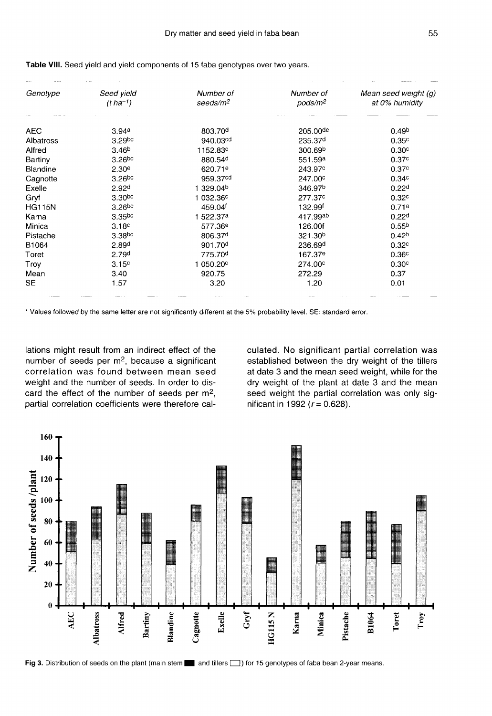| Genotype      | Seed yield         | Number of             | Number of           | Mean seed weight (g) |
|---------------|--------------------|-----------------------|---------------------|----------------------|
|               | $(t \, ha^{-1})$   | seeds/m <sup>2</sup>  | pods/m <sup>2</sup> | at 0% humidity       |
|               |                    |                       |                     |                      |
| <b>AEC</b>    | 3.94a              | 803.70 <sup>d</sup>   | 205.00de            | 0.49 <sup>b</sup>    |
| Albatross     | 3.29bc             | 940.03 <sup>cd</sup>  | 235.37 <sup>d</sup> | 0.35 <sup>c</sup>    |
| Alfred        | 3.46 <sup>b</sup>  | 1152.83 <sup>c</sup>  | 300.69 <sup>b</sup> | 0.30 <sup>c</sup>    |
| Bartiny       | $3.26$ bc          | 880.54 <sup>d</sup>   | 551.59 <sup>a</sup> | 0.37 <sup>c</sup>    |
| Blandine      | 2.30 <sup>e</sup>  | 620.71 <sup>e</sup>   | 243.97°             | 0.37 <sup>c</sup>    |
| Cagnotte      | 3.26 <sub>pc</sub> | 959.37 <sup>cd</sup>  | 247.00°             | 0.34 <sup>c</sup>    |
| Exelle        | 2.92 <sup>d</sup>  | 1 329.04b             | 346.97 <sup>b</sup> | 0.22 <sup>d</sup>    |
| Gryf          | 3.30 <sub>pc</sub> | 1 032.36 <sup>c</sup> | 277.37c             | 0.32 <sub>c</sub>    |
| <b>HG115N</b> | 3.26 <sub>bc</sub> | 459.04f               | 132.99f             | 0.71a                |
| Karna         | 3.35 <sub>pc</sub> | 1 522.37a             | 417.99ab            | 0.22 <sup>d</sup>    |
| Minica        | 3.18 <sup>c</sup>  | 577.36 <sup>e</sup>   | 126.00f             | 0.55 <sup>b</sup>    |
| Pistache      | 3.38 <sub>pc</sub> | 806.37d               | 321.30 <sup>b</sup> | 0.42 <sup>b</sup>    |
| B1064         | 2.89 <sup>d</sup>  | 901.70 <sup>d</sup>   | 236.69 <sup>d</sup> | 0.32 <sup>c</sup>    |
| Toret         | 2.79 <sup>d</sup>  | 775.70 <sup>d</sup>   | 167.37 <sup>e</sup> | 0.36 <sup>c</sup>    |
| Troy          | 3.15 <sup>c</sup>  | 1 050.20 <sup>c</sup> | 274.00°             | 0.30 <sup>c</sup>    |
| Mean          | 3.40               | 920.75                | 272.29              | 0.37                 |
| <b>SE</b>     | 1.57               | 3.20                  | 1.20                | 0.01                 |

Table VIII. Seed yield and yield components of 15 faba genotypes over two years.

\* Values followed by the same letter are not significantly different at the 5% probability level. SE: standard error.

lations might result from an indirect effect of the number of seeds per  $m<sup>2</sup>$ , because a significant correlation was found between mean seed weight and the number of seeds. In order to discard the effect of the number of seeds per m<sup>2</sup>, partial correlation coefficients were therefore calculated. No significant partial correlation was established between the dry weight of the tillers at date 3 and the mean seed weight, while for the dry weight of the plant at date 3 and the mean seed weight the partial correlation was only significant in 1992 ( $r = 0.628$ ).

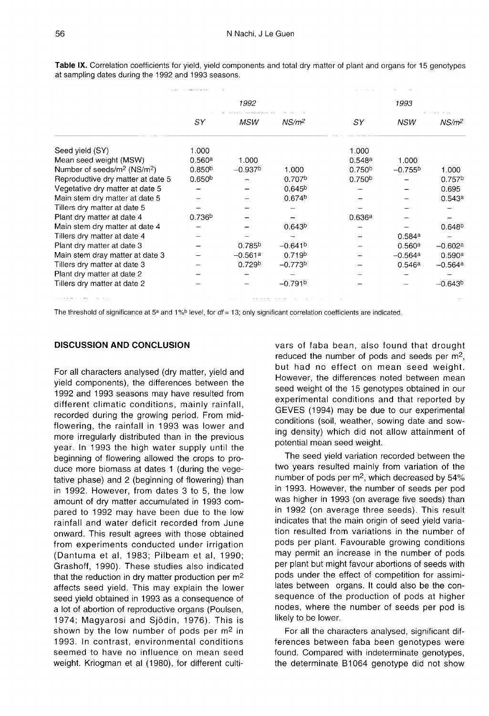|                                                     | 1992               |                    |                       |                    | 1993       |                    |  |  |
|-----------------------------------------------------|--------------------|--------------------|-----------------------|--------------------|------------|--------------------|--|--|
|                                                     | SY                 | MSW                | $NS/m^2$              | SY                 | <b>NSW</b> | NS/m <sup>2</sup>  |  |  |
| Seed yield (SY)                                     | 1.000              |                    |                       | 1.000              |            |                    |  |  |
| Mean seed weight (MSW)                              | 0.560a             | 1.000              |                       | 0.548a             | 1.000      |                    |  |  |
| Number of seeds/m <sup>2</sup> (NS/m <sup>2</sup> ) | 0.850 <sup>b</sup> | $-0.937b$          | 1.000                 | 0.750 <sup>b</sup> | $-0.755b$  | 1.000              |  |  |
| Reprodudtive dry matter at date 5                   | 0.650 <sup>b</sup> |                    | 0.707 <sup>b</sup>    | 0.750 <sup>b</sup> |            | 0.757 <sup>b</sup> |  |  |
| Vegetative dry matter at date 5                     |                    |                    | 0.645 <sup>b</sup>    |                    |            | 0.695              |  |  |
| Main stem dry matter at date 5                      |                    |                    | 0.674 <sup>b</sup>    |                    |            | 0.543a             |  |  |
| Tillers dry matter at date 5                        |                    |                    |                       |                    |            |                    |  |  |
| Plant dry matter at date 4                          | 0.736 <sup>b</sup> |                    |                       | 0.636a             |            |                    |  |  |
| Main stem dry matter at date 4                      |                    |                    | 0.643 <sup>b</sup>    |                    |            | 0.648 <sup>b</sup> |  |  |
| Tillers dry matter at date 4                        |                    |                    |                       |                    | 0.584a     |                    |  |  |
| Plant dry matter at date 3                          |                    | 0.785 <sup>b</sup> | $-0.641$ <sup>b</sup> |                    | 0.560a     | $-0.602a$          |  |  |
| Main stem dray matter at date 3                     |                    | $-0.561a$          | 0.719 <sup>b</sup>    |                    | $-0.564a$  | 0.590a             |  |  |
| Tillers dry matter at date 3                        |                    | 0.729 <sup>b</sup> | $-0.773b$             |                    | 0.546a     | $-0.564a$          |  |  |
| Plant dry matter at date 2                          |                    |                    |                       |                    |            |                    |  |  |
| Tillers dry matter at date 2                        |                    |                    | $-0.791b$             |                    |            | $-0.643b$          |  |  |
|                                                     |                    |                    |                       |                    |            |                    |  |  |

Table IX. Correlation coefficients for yield, yield components and total dry matter of plant and organs for 15 genotypes at sampling dates during the 1992 and 1993 seasons.

المتفسط للمالية

The threshold of significance at 5<sup>a</sup> and 1%<sup>b</sup> level, for  $df = 13$ ; only significant correlation coefficients are indicated.

## DISCUSSION AND CONCLUSION

For all characters analysed (dry matter, yield and yield components), the differences between the 1992 and 1993 seasons may have resulted from different climatic conditions, mainly rainfall, recorded during the growing period. From midflowering, the rainfall in 1993 was lower and more irregularly distributed than in the previous year. In 1993 the high water supply until the beginning of flowering allowed the crops to produce more biomass at dates 1 (during the vegetative phase) and 2 (beginning of flowering) than in 1992. However, from dates 3 to 5, the low amount of dry matter accumulated in 1993 compared to 1992 may have been due to the low rainfall and water deficit recorded from June onward. This result agrees with those obtained from experiments conducted under irrigation (Dantuma et al, 1983; Pilbeam et al, 1990; Grashoff, 1990). These studies also indicated that the reduction in dry matter production per m2 affects seed yield. This may explain the lower seed yield obtained in 1993 as a consequence of a lot of abortion of reproductive organs (Poulsen, 1974; Magyarosi and Sjödin, 1976). This is shown by the low number of pods per m<sup>2</sup> in 1993. In contrast, environmental conditions seemed to have no influence on mean seed weight. Kriogman et al (1980), for different cultivars of faba bean, also found that drought reduced the number of pods and seeds per m<sup>2</sup>, but had no effect on mean seed weight. However, the differences noted between mean seed weight of the 15 genotypes obtained in our experimental conditions and that reported by GEVES (1994) may be due to our experimental conditions (soil, weather, sowing date and sowing density) which did not allow attainment of potential mean seed weight.

The seed yield variation recorded between the two years resulted mainly from variation of the number of pods per  $m<sup>2</sup>$ , which decreased by 54% in 1993. However, the number of seeds per pod was higher in 1993 (on average five seeds) than in 1992 (on average three seeds). This result indicates that the main origin of seed yield variation resulted from variations in the number of pods per plant. Favourable growing conditions may permit an increase in the number of pods per plant but might favour abortions of seeds with pods under the effect of competition for assimilates between organs. It could also be the consequence of the production of pods at higher nodes, where the number of seeds per pod is likely to be lower.

For all the characters analysed, significant differences between faba been genotypes were found. Compared with indeterminate genotypes, the determinate B1064 genotype did not show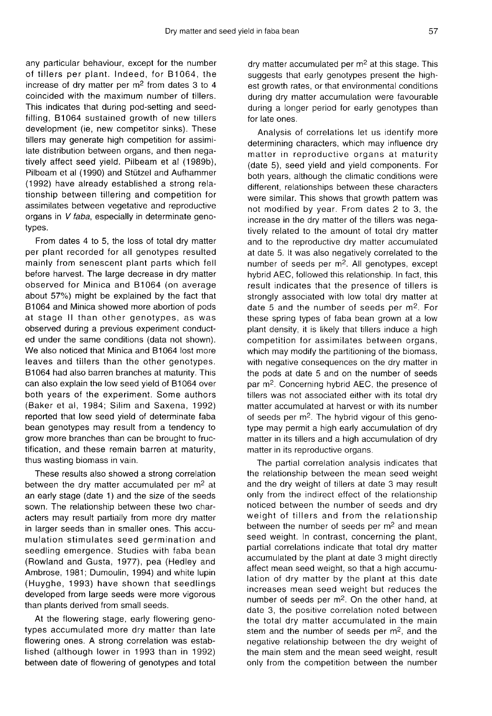any particular behaviour, except for the number of tillers per plant. Indeed, for B1064, the increase of dry matter per  $m<sup>2</sup>$  from dates 3 to 4 coincided with the maximum number of tillers. This indicates that during pod-setting and seedfilling, B1064 sustained growth of new tillers development (ie, new competitor sinks). These tillers may generate high competition for assimilate distribution between organs, and then negatively affect seed yield. Pilbeam et al (1989b), Pilbeam et al (1990) and Stützel and Aufhammer (1992) have already established a strong relationship between tillering and competition for assimilates between vegetative and reproductive organs in V faba, especially in determinate genotypes.

From dates 4 to 5, the loss of total dry matter per plant recorded for all genotypes resulted mainly from senescent plant parts which fell before harvest. The large decrease in dry matter observed for Minica and B1064 (on average about 57%) might be explained by the fact that B1064 and Minica showed more abortion of pods at stage II than other genotypes, as was observed during a previous experiment conducted under the same conditions (data not shown). We also noticed that Minica and B1064 lost more leaves and tillers than the other genotypes. B1064 had also barren branches at maturity. This can also explain the low seed yield of B1064 over both years of the experiment. Some authors (Baker et al, 1984; Silim and Saxena, 1992) reported that low seed yield of determinate faba bean genotypes may result from a tendency to grow more branches than can be brought to fructification, and these remain barren at maturity, thus wasting biomass in vain.

These results also showed a strong correlation between the dry matter accumulated per  $m<sup>2</sup>$  at an early stage (date 1) and the size of the seeds sown. The relationship between these two characters may result partially from more dry matter in larger seeds than in smaller ones. This accumulation stimulates seed germination and seedling emergence. Studies with faba bean (Rowland and Gusta, 1977), pea (Hedley and Ambrose, 1981; Dumoulin, 1994) and white lupin (Huyghe, 1993) have shown that seedlings developed from large seeds were more vigorous than plants derived from small seeds.

At the flowering stage, early flowering genotypes accumulated more dry matter than late flowering ones. A strong correlation was established (although lower in 1993 than in 1992) between date of flowering of genotypes and total dry matter accumulated per  $m<sup>2</sup>$  at this stage. This suggests that early genotypes present the highest growth rates, or that environmental conditions during dry matter accumulation were favourable during a longer period for early genotypes than for late ones.

Analysis of correlations let us identify more determining characters, which may influence dry matter in reproductive organs at maturity (date 5), seed yield and yield components. For both years, although the climatic conditions were different, relationships between these characters were similar. This shows that growth pattern was not modified by year. From dates 2 to 3, the increase in the dry matter of the tillers was negatively related to the amount of total dry matter and to the reproductive dry matter accumulated at date 5. It was also negatively correlated to the number of seeds per  $m^2$ . All genotypes, except hybrid AEC, followed this relationship. In fact, this result indicates that the presence of tillers is strongly associated with low total dry matter at date 5 and the number of seeds per m<sup>2</sup>. For these spring types of faba bean grown at a low plant density, it is likely that tillers induce a high competition for assimilates between organs, which may modify the partitioning of the biomass, with negative consequences on the dry matter in the pods at date 5 and on the number of seeds par m2. Concerning hybrid AEC, the presence of tillers was not associated either with its total dry matter accumulated at harvest or with its number of seeds per m2. The hybrid vigour of this genotype may permit a high early accumulation of dry matter in its tillers and a high accumulation of dry matter in its reproductive organs.

The partial correlation analysis indicates that the relationship between the mean seed weight and the dry weight of tillers at date 3 may result only from the indirect effect of the relationship noticed between the number of seeds and dry weight of tillers and from the relationship between the number of seeds per  $m<sup>2</sup>$  and mean seed weight. In contrast, concerning the plant, partial correlations indicate that total dry matter accumulated by the plant at date 3 might directly affect mean seed weight, so that a high accumulation of dry matter by the plant at this date increases mean seed weight but reduces the number of seeds per  $m<sup>2</sup>$ . On the other hand, at date 3, the positive correlation noted between the total dry matter accumulated in the main stem and the number of seeds per  $m<sup>2</sup>$ , and the negative relationship between the dry weight of the main stem and the mean seed weight, result only from the competition between the number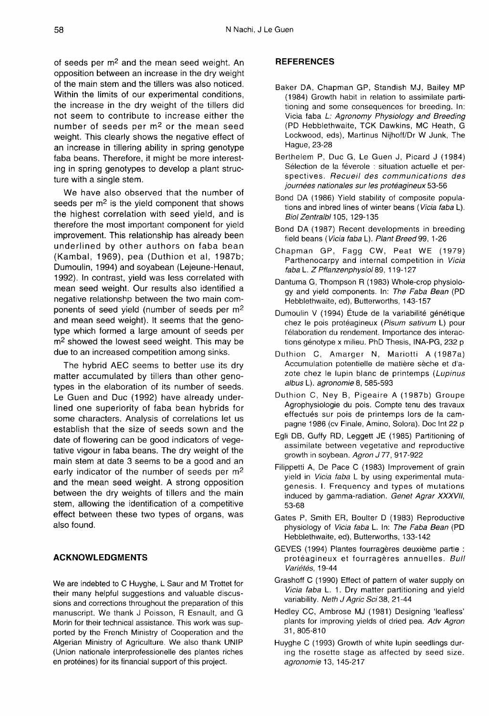of seeds per m<sup>2</sup> and the mean seed weight. An opposition between an increase in the dry weight of the main stem and the tillers was also noticed. Within the limits of our experimental conditions, the increase in the dry weight of the tillers did not seem to contribute to increase either the number of seeds per m2 or the mean seed weight. This clearly shows the negative effect of an increase in tillering ability in spring genotype faba beans. Therefore, it might be more interesting in spring genotypes to develop a plant structure with a single stem.

We have also observed that the number of seeds per  $m<sup>2</sup>$  is the yield component that shows the highest correlation with seed yield, and is therefore the most important component for yield improvement. This relationship has already been underlined by other authors on faba bean (Kambal, 1969), pea (Duthion et al, 1987b; Dumoulin, 1994) and soyabean (Lejeune-Henaut, 1992). In contrast, yield was less correlated with mean seed weight. Our results also identified a negative relationshp between the two main components of seed yield (number of seeds per m2 and mean seed weight). It seems that the genotype which formed a large amount of seeds per m<sup>2</sup> showed the lowest seed weight. This may be due to an increased competition among sinks.

The hybrid AEC seems to better use its dry matter accumulated by tillers than other genotypes in the elaboration of its number of seeds. Le Guen and Duc (1992) have already underlined one superiority of faba bean hybrids for some characters. Analysis of correlations let us establish that the size of seeds sown and the date of flowering can be good indicators of vegetative vigour in faba beans. The dry weight of the main stem at date 3 seems to be a good and an early indicator of the number of seeds per m2 and the mean seed weight. A strong opposition between the dry weights of tillers and the main stem, allowing the identification of a competitive effect between these two types of organs, was also found.

## ACKNOWLEDGMENTS

We are indebted to C Huyghe, L Saur and M Trottet for their many helpful suggestions and valuable discussions and corrections throughout the preparation of this manuscript. We thank J Poisson, R Esnault, and G Morin for their technical assistance. This work was supported by the French Ministry of Cooperation and the Algerian Ministry of Agriculture. We also thank UNIP (Union nationale interprofessionelle des plantes riches en protéines) for its financial support of this project.

### **REFERENCES**

- Baker DA, Chapman GP, Standish MJ, Bailey MP (1984) Growth habit in relation to assimilate partitioning and some consequences for breeding. In: Vicia faba L: Agronomy Physiology and Breeding (PD Hebblethwaite, TCK Dawkins, MC Heath, G Lockwood, eds), Martinus Nijhoff/Dr W Junk, The Hague, 23-28
- Berthelem P, Duc G, Le Guen J, Picard J (1984) Sélection de la féverole : situation actuelle et perspectives. Recueil des communications des journées nationales sur les protéagineux 53-56
- Bond DA (1986) Yield stability of composite populations and inbred lines of winter beans (Vicia faba L). Biol Zentralbl 105, 129-135
- Bond DA (1987) Recent developments in breeding field beans (Vicia faba L). Plant Breed 99, 1-26
- Chapman GP, Fagg CW, Peat WE (1979) Parthenocarpy and internal competition in Vicia faba L. Z Pflanzenphysiol 89, 119-127
- Dantuma G, Thompson R (1983) Whole-crop physiology and yield components. In: The Faba Bean (PD Hebblethwaite, ed), Butterworths, 143-157
- Dumoulin V (1994) Étude de la variabilité génétique chez le pois protéagineux (Pisum sativum L) pour l'élaboration du rendement. Importance des interactions génotype x milieu. PhD Thesis, INA-PG, 232 p
- Duthion C, Amarger N, Mariotti A (1987a) Accumulation potentielle de matière sèche et d'azote chez le lupin blanc de printemps (Lupinus albus L). agronomie 8, 585-593
- Duthion C, Ney B, Pigeaire A (1987b) Groupe Agrophysiologie du pois. Compte tenu des travaux effectués sur pois de printemps lors de la campagne 1986 (cv Finale, Amino, Solora). Doc Int 22 p
- Egli DB, Guffy RD, Leggett JE (1985) Partitioning of assimilate between vegetative and reproductive growth in soybean. Agron J77, 917-922
- Filippetti A, De Pace C (1983) Improvement of grain yield in Vicia faba L by using experimental mutagenesis. I. Frequency and types of mutations induced by gamma-radiation. Genet Agrar XXXVII, 53-68
- Gates P, Smith ER, Boulter D (1983) Reproductive physiology of Vicia faba L. In: The Faba Bean (PD Hebblethwaite, ed), Butterworths, 133-142
- GEVES (1994) Plantes fourragères deuxième partie : protéagineux et fourragères annuelles. Bull Variétés, 19-44
- Grashoff C (1990) Effect of pattern of water supply on Vicia faba L. 1. Dry matter partitioning and yield variability. Neth J Agric Sci 38, 21-44
- Hedley CC, Ambrose MJ (1981) Designing 'leafless' plants for improving yields of dried pea. Adv Agron 31, 805-810
- Huyghe C (1993) Growth of white lupin seedlings during the rosette stage as affected by seed size. agronomie 13, 145-217